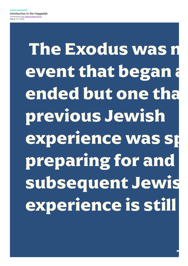Introduction to the Haggadah Contributed by The Telling By Mark Gerson Source: The Telling

> The Exodus was n event that began a ended but one tha previous Jewish experience was sp preparing for and subsequent Jewis experience is still